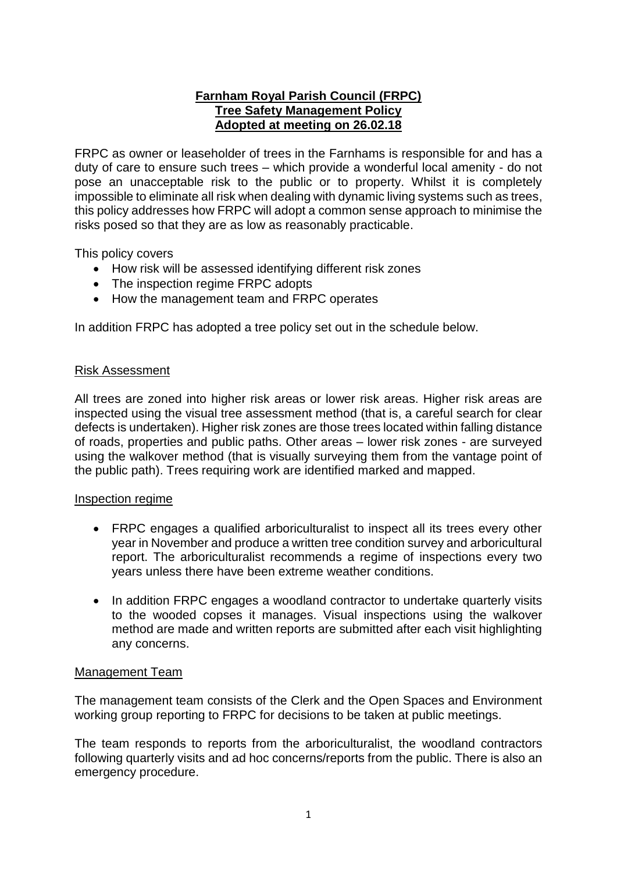## **Farnham Royal Parish Council (FRPC) Tree Safety Management Policy Adopted at meeting on 26.02.18**

FRPC as owner or leaseholder of trees in the Farnhams is responsible for and has a duty of care to ensure such trees – which provide a wonderful local amenity - do not pose an unacceptable risk to the public or to property. Whilst it is completely impossible to eliminate all risk when dealing with dynamic living systems such as trees, this policy addresses how FRPC will adopt a common sense approach to minimise the risks posed so that they are as low as reasonably practicable.

This policy covers

- How risk will be assessed identifying different risk zones
- The inspection regime FRPC adopts
- How the management team and FRPC operates

In addition FRPC has adopted a tree policy set out in the schedule below.

### Risk Assessment

All trees are zoned into higher risk areas or lower risk areas. Higher risk areas are inspected using the visual tree assessment method (that is, a careful search for clear defects is undertaken). Higher risk zones are those trees located within falling distance of roads, properties and public paths. Other areas – lower risk zones - are surveyed using the walkover method (that is visually surveying them from the vantage point of the public path). Trees requiring work are identified marked and mapped.

### Inspection regime

- FRPC engages a qualified arboriculturalist to inspect all its trees every other year in November and produce a written tree condition survey and arboricultural report. The arboriculturalist recommends a regime of inspections every two years unless there have been extreme weather conditions.
- In addition FRPC engages a woodland contractor to undertake quarterly visits to the wooded copses it manages. Visual inspections using the walkover method are made and written reports are submitted after each visit highlighting any concerns.

### Management Team

The management team consists of the Clerk and the Open Spaces and Environment working group reporting to FRPC for decisions to be taken at public meetings.

The team responds to reports from the arboriculturalist, the woodland contractors following quarterly visits and ad hoc concerns/reports from the public. There is also an emergency procedure.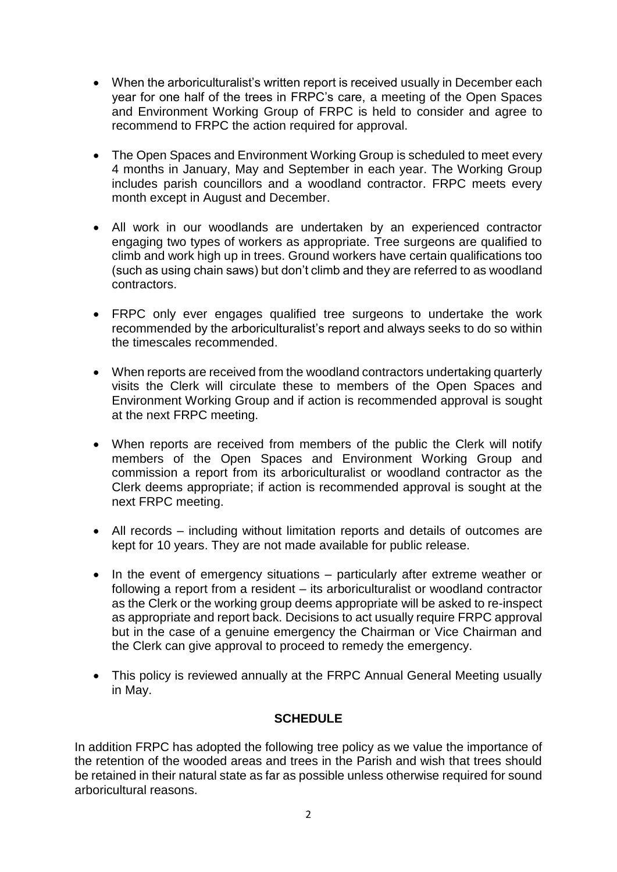- When the arboriculturalist's written report is received usually in December each year for one half of the trees in FRPC's care, a meeting of the Open Spaces and Environment Working Group of FRPC is held to consider and agree to recommend to FRPC the action required for approval.
- The Open Spaces and Environment Working Group is scheduled to meet every 4 months in January, May and September in each year. The Working Group includes parish councillors and a woodland contractor. FRPC meets every month except in August and December.
- All work in our woodlands are undertaken by an experienced contractor engaging two types of workers as appropriate. Tree surgeons are qualified to climb and work high up in trees. Ground workers have certain qualifications too (such as using chain saws) but don't climb and they are referred to as woodland contractors.
- FRPC only ever engages qualified tree surgeons to undertake the work recommended by the arboriculturalist's report and always seeks to do so within the timescales recommended.
- When reports are received from the woodland contractors undertaking quarterly visits the Clerk will circulate these to members of the Open Spaces and Environment Working Group and if action is recommended approval is sought at the next FRPC meeting.
- When reports are received from members of the public the Clerk will notify members of the Open Spaces and Environment Working Group and commission a report from its arboriculturalist or woodland contractor as the Clerk deems appropriate; if action is recommended approval is sought at the next FRPC meeting.
- All records including without limitation reports and details of outcomes are kept for 10 years. They are not made available for public release.
- In the event of emergency situations particularly after extreme weather or following a report from a resident – its arboriculturalist or woodland contractor as the Clerk or the working group deems appropriate will be asked to re-inspect as appropriate and report back. Decisions to act usually require FRPC approval but in the case of a genuine emergency the Chairman or Vice Chairman and the Clerk can give approval to proceed to remedy the emergency.
- This policy is reviewed annually at the FRPC Annual General Meeting usually in May.

# **SCHEDULE**

In addition FRPC has adopted the following tree policy as we value the importance of the retention of the wooded areas and trees in the Parish and wish that trees should be retained in their natural state as far as possible unless otherwise required for sound arboricultural reasons.